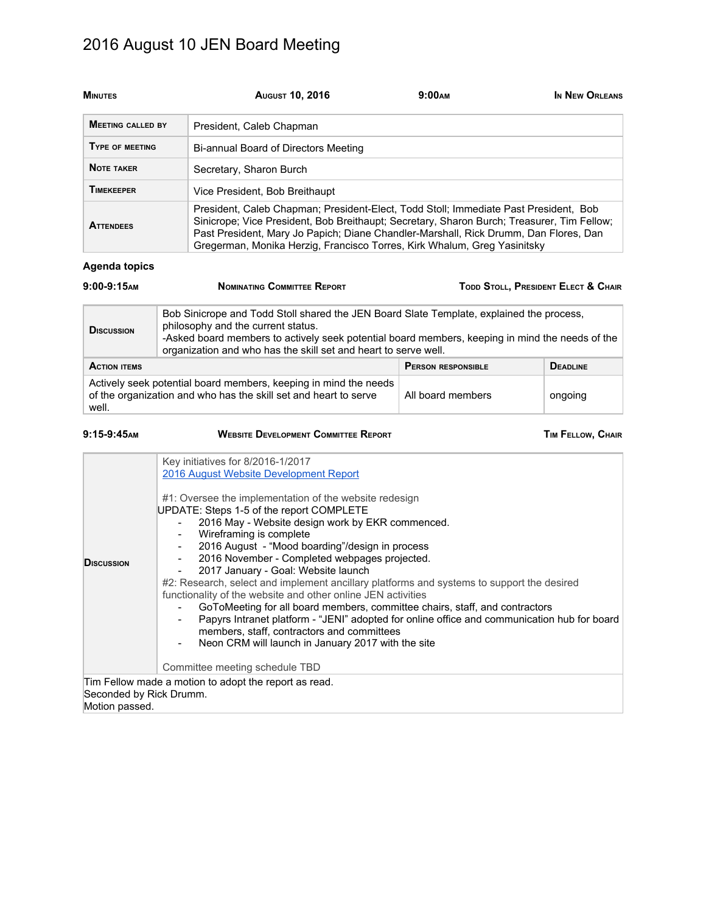# 2016 August 10 JEN Board Meeting

| <b>MINUTES</b>           | <b>AUGUST 10, 2016</b>                                                                                                                                                                                                                                                                                                                                 | 9:00 <sub>AM</sub> | IN NEW ORLEANS |
|--------------------------|--------------------------------------------------------------------------------------------------------------------------------------------------------------------------------------------------------------------------------------------------------------------------------------------------------------------------------------------------------|--------------------|----------------|
| <b>MEETING CALLED BY</b> | President, Caleb Chapman                                                                                                                                                                                                                                                                                                                               |                    |                |
| TYPE OF MEETING          | Bi-annual Board of Directors Meeting                                                                                                                                                                                                                                                                                                                   |                    |                |
| <b>NOTE TAKER</b>        | Secretary, Sharon Burch                                                                                                                                                                                                                                                                                                                                |                    |                |
| <b>TIMEKEEPER</b>        | Vice President, Bob Breithaupt                                                                                                                                                                                                                                                                                                                         |                    |                |
| <b>ATTENDEES</b>         | President, Caleb Chapman; President-Elect, Todd Stoll; Immediate Past President, Bob<br>Sinicrope; Vice President, Bob Breithaupt; Secretary, Sharon Burch; Treasurer, Tim Fellow;<br>Past President, Mary Jo Papich; Diane Chandler-Marshall, Rick Drumm, Dan Flores, Dan<br>Gregerman, Monika Herzig, Francisco Torres, Kirk Whalum, Greg Yasinitsky |                    |                |

#### **Agenda topics**

| $9:00-9:15$ AM                                                                                                                                                                                                                                                                                                             | <b>NOMINATING COMMITTEE REPORT</b>                                                                                                   | TODD STOLL, PRESIDENT ELECT & CHAIR |                 |
|----------------------------------------------------------------------------------------------------------------------------------------------------------------------------------------------------------------------------------------------------------------------------------------------------------------------------|--------------------------------------------------------------------------------------------------------------------------------------|-------------------------------------|-----------------|
| Bob Sinicrope and Todd Stoll shared the JEN Board Slate Template, explained the process,<br>philosophy and the current status.<br><b>D</b> ISCUSSION<br>-Asked board members to actively seek potential board members, keeping in mind the needs of the<br>organization and who has the skill set and heart to serve well. |                                                                                                                                      |                                     |                 |
| <b>ACTION ITEMS</b>                                                                                                                                                                                                                                                                                                        |                                                                                                                                      | <b>PERSON RESPONSIBLE</b>           | <b>DEADLINE</b> |
| well.                                                                                                                                                                                                                                                                                                                      | Actively seek potential board members, keeping in mind the needs<br>of the organization and who has the skill set and heart to serve | All board members                   | ongoing         |

| <b>WEBSITE DEVELOPMENT COMMITTEE REPORT</b><br>$9:15-9:45$ AM<br><b>TIM FELLOW, CHAIR</b>                                                                                                                                                                                                                                                                                                                                                                                                                                                                                                                                                                                                                                                                                                                                                                                                                                                      |
|------------------------------------------------------------------------------------------------------------------------------------------------------------------------------------------------------------------------------------------------------------------------------------------------------------------------------------------------------------------------------------------------------------------------------------------------------------------------------------------------------------------------------------------------------------------------------------------------------------------------------------------------------------------------------------------------------------------------------------------------------------------------------------------------------------------------------------------------------------------------------------------------------------------------------------------------|
| Key initiatives for 8/2016-1/2017<br>2016 August Website Development Report<br>#1: Oversee the implementation of the website redesign<br>UPDATE: Steps 1-5 of the report COMPLETE<br>2016 May - Website design work by EKR commenced.<br>Wireframing is complete<br>$\overline{\phantom{a}}$<br>2016 August - "Mood boarding"/design in process<br>2016 November - Completed webpages projected.<br><b>D</b> ISCUSSION<br>2017 January - Goal: Website launch<br>#2: Research, select and implement ancillary platforms and systems to support the desired<br>functionality of the website and other online JEN activities<br>GoToMeeting for all board members, committee chairs, staff, and contractors<br>Papyrs Intranet platform - "JENI" adopted for online office and communication hub for board<br>members, staff, contractors and committees<br>Neon CRM will launch in January 2017 with the site<br>Committee meeting schedule TBD |
| Tim Fellow made a motion to adopt the report as read.<br>Seconded by Rick Drumm.                                                                                                                                                                                                                                                                                                                                                                                                                                                                                                                                                                                                                                                                                                                                                                                                                                                               |
| Motion passed.                                                                                                                                                                                                                                                                                                                                                                                                                                                                                                                                                                                                                                                                                                                                                                                                                                                                                                                                 |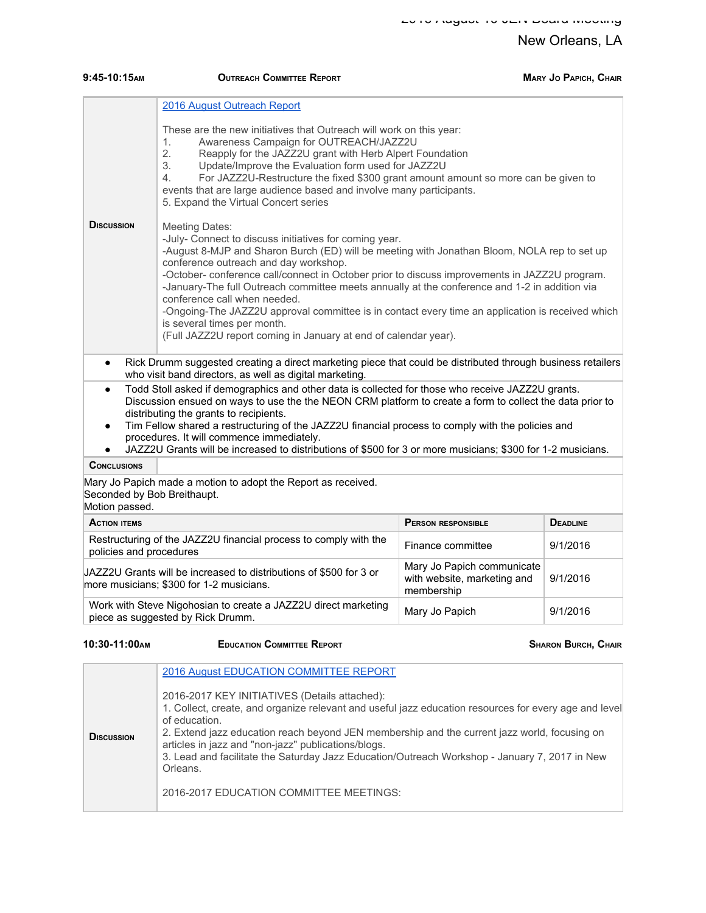| $9:45-10:15$ AM                                                                                                | <b>OUTREACH COMMITTEE REPORT</b>                                                                                                                                                                                                                                                                                                                                                                                                                                                                                                                                                                                                                                |                   | <b>MARY JO PAPICH, CHAIR</b> |  |  |
|----------------------------------------------------------------------------------------------------------------|-----------------------------------------------------------------------------------------------------------------------------------------------------------------------------------------------------------------------------------------------------------------------------------------------------------------------------------------------------------------------------------------------------------------------------------------------------------------------------------------------------------------------------------------------------------------------------------------------------------------------------------------------------------------|-------------------|------------------------------|--|--|
|                                                                                                                | 2016 August Outreach Report                                                                                                                                                                                                                                                                                                                                                                                                                                                                                                                                                                                                                                     |                   |                              |  |  |
|                                                                                                                | These are the new initiatives that Outreach will work on this year:<br>Awareness Campaign for OUTREACH/JAZZ2U<br>1 <sub>1</sub><br>2.<br>Reapply for the JAZZ2U grant with Herb Alpert Foundation<br>3.<br>Update/Improve the Evaluation form used for JAZZ2U<br>For JAZZ2U-Restructure the fixed \$300 grant amount amount so more can be given to<br>4.<br>events that are large audience based and involve many participants.<br>5. Expand the Virtual Concert series                                                                                                                                                                                        |                   |                              |  |  |
| <b>D</b> ISCUSSION                                                                                             | <b>Meeting Dates:</b><br>-July- Connect to discuss initiatives for coming year.<br>-August 8-MJP and Sharon Burch (ED) will be meeting with Jonathan Bloom, NOLA rep to set up<br>conference outreach and day workshop.<br>-October- conference call/connect in October prior to discuss improvements in JAZZ2U program.<br>-January-The full Outreach committee meets annually at the conference and 1-2 in addition via<br>conference call when needed.<br>-Ongoing-The JAZZ2U approval committee is in contact every time an application is received which<br>is several times per month.<br>(Full JAZZ2U report coming in January at end of calendar year). |                   |                              |  |  |
| $\bullet$                                                                                                      | Rick Drumm suggested creating a direct marketing piece that could be distributed through business retailers<br>who visit band directors, as well as digital marketing.                                                                                                                                                                                                                                                                                                                                                                                                                                                                                          |                   |                              |  |  |
| $\bullet$<br>$\bullet$<br>$\bullet$                                                                            | Todd Stoll asked if demographics and other data is collected for those who receive JAZZ2U grants.<br>Discussion ensued on ways to use the the NEON CRM platform to create a form to collect the data prior to<br>distributing the grants to recipients.<br>Tim Fellow shared a restructuring of the JAZZ2U financial process to comply with the policies and<br>procedures. It will commence immediately.<br>JAZZ2U Grants will be increased to distributions of \$500 for 3 or more musicians; \$300 for 1-2 musicians.                                                                                                                                        |                   |                              |  |  |
| <b>CONCLUSIONS</b>                                                                                             |                                                                                                                                                                                                                                                                                                                                                                                                                                                                                                                                                                                                                                                                 |                   |                              |  |  |
| Mary Jo Papich made a motion to adopt the Report as received.<br>Seconded by Bob Breithaupt.<br>Motion passed. |                                                                                                                                                                                                                                                                                                                                                                                                                                                                                                                                                                                                                                                                 |                   |                              |  |  |
| <b>ACTION ITEMS</b>                                                                                            | <b>PERSON RESPONSIBLE</b><br><b>DEADLINE</b>                                                                                                                                                                                                                                                                                                                                                                                                                                                                                                                                                                                                                    |                   |                              |  |  |
| policies and procedures                                                                                        | Restructuring of the JAZZ2U financial process to comply with the                                                                                                                                                                                                                                                                                                                                                                                                                                                                                                                                                                                                | Finance committee | 9/1/2016                     |  |  |
|                                                                                                                | Mary Jo Papich communicate<br>JAZZ2U Grants will be increased to distributions of \$500 for 3 or<br>with website, marketing and<br>9/1/2016<br>more musicians; \$300 for 1-2 musicians.<br>membership                                                                                                                                                                                                                                                                                                                                                                                                                                                           |                   |                              |  |  |
|                                                                                                                | Work with Steve Nigohosian to create a JAZZ2U direct marketing<br>9/1/2016<br>Mary Jo Papich<br>piece as suggested by Rick Drumm.                                                                                                                                                                                                                                                                                                                                                                                                                                                                                                                               |                   |                              |  |  |

#### **10:30-11:00AM EDUCATION COMMITTEE REPORT SHARON BURCH, CHAIR**

|                   | 2016 August EDUCATION COMMITTEE REPORT                                                                                                                                                                                                                                                                                                                                                                                                      |
|-------------------|---------------------------------------------------------------------------------------------------------------------------------------------------------------------------------------------------------------------------------------------------------------------------------------------------------------------------------------------------------------------------------------------------------------------------------------------|
| <b>DISCUSSION</b> | 2016-2017 KEY INITIATIVES (Details attached):<br>1. Collect, create, and organize relevant and useful jazz education resources for every age and level<br>of education.<br>2. Extend jazz education reach beyond JEN membership and the current jazz world, focusing on<br>articles in jazz and "non-jazz" publications/blogs.<br>3. Lead and facilitate the Saturday Jazz Education/Outreach Workshop - January 7, 2017 in New<br>Orleans. |
|                   | 2016-2017 EDUCATION COMMITTEE MEETINGS:                                                                                                                                                                                                                                                                                                                                                                                                     |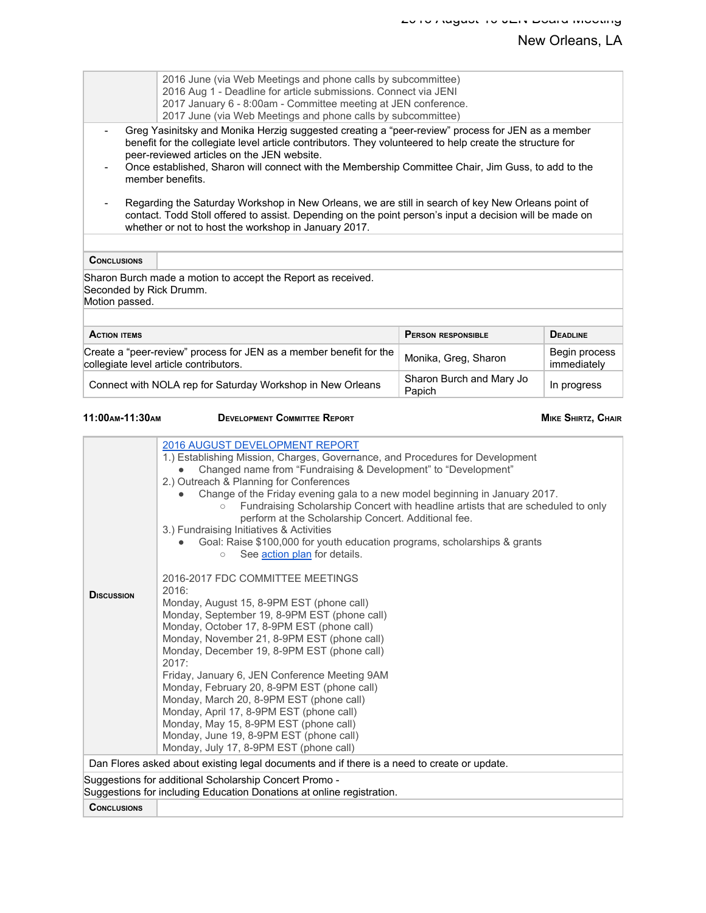|                                                                                                                                                                                                                                                                                                                                                                                                                                                                                                                                                                                                                                                                                                                                                                                                                                                                                                                                                                                                                                                                                                                                                                                                                                                                        | 2016 June (via Web Meetings and phone calls by subcommittee)<br>2016 Aug 1 - Deadline for article submissions. Connect via JENI<br>2017 January 6 - 8:00am - Committee meeting at JEN conference.<br>2017 June (via Web Meetings and phone calls by subcommittee)                                                                                                                    |                                    |                              |  |  |
|------------------------------------------------------------------------------------------------------------------------------------------------------------------------------------------------------------------------------------------------------------------------------------------------------------------------------------------------------------------------------------------------------------------------------------------------------------------------------------------------------------------------------------------------------------------------------------------------------------------------------------------------------------------------------------------------------------------------------------------------------------------------------------------------------------------------------------------------------------------------------------------------------------------------------------------------------------------------------------------------------------------------------------------------------------------------------------------------------------------------------------------------------------------------------------------------------------------------------------------------------------------------|--------------------------------------------------------------------------------------------------------------------------------------------------------------------------------------------------------------------------------------------------------------------------------------------------------------------------------------------------------------------------------------|------------------------------------|------------------------------|--|--|
|                                                                                                                                                                                                                                                                                                                                                                                                                                                                                                                                                                                                                                                                                                                                                                                                                                                                                                                                                                                                                                                                                                                                                                                                                                                                        | Greg Yasinitsky and Monika Herzig suggested creating a "peer-review" process for JEN as a member<br>benefit for the collegiate level article contributors. They volunteered to help create the structure for<br>peer-reviewed articles on the JEN website.<br>Once established, Sharon will connect with the Membership Committee Chair, Jim Guss, to add to the<br>member benefits. |                                    |                              |  |  |
|                                                                                                                                                                                                                                                                                                                                                                                                                                                                                                                                                                                                                                                                                                                                                                                                                                                                                                                                                                                                                                                                                                                                                                                                                                                                        | Regarding the Saturday Workshop in New Orleans, we are still in search of key New Orleans point of<br>contact. Todd Stoll offered to assist. Depending on the point person's input a decision will be made on<br>whether or not to host the workshop in January 2017.                                                                                                                |                                    |                              |  |  |
| <b>CONCLUSIONS</b>                                                                                                                                                                                                                                                                                                                                                                                                                                                                                                                                                                                                                                                                                                                                                                                                                                                                                                                                                                                                                                                                                                                                                                                                                                                     |                                                                                                                                                                                                                                                                                                                                                                                      |                                    |                              |  |  |
| Seconded by Rick Drumm.<br>Motion passed.                                                                                                                                                                                                                                                                                                                                                                                                                                                                                                                                                                                                                                                                                                                                                                                                                                                                                                                                                                                                                                                                                                                                                                                                                              | Sharon Burch made a motion to accept the Report as received.                                                                                                                                                                                                                                                                                                                         |                                    |                              |  |  |
| <b>ACTION ITEMS</b>                                                                                                                                                                                                                                                                                                                                                                                                                                                                                                                                                                                                                                                                                                                                                                                                                                                                                                                                                                                                                                                                                                                                                                                                                                                    |                                                                                                                                                                                                                                                                                                                                                                                      | <b>PERSON RESPONSIBLE</b>          | <b>DEADLINE</b>              |  |  |
|                                                                                                                                                                                                                                                                                                                                                                                                                                                                                                                                                                                                                                                                                                                                                                                                                                                                                                                                                                                                                                                                                                                                                                                                                                                                        | Create a "peer-review" process for JEN as a member benefit for the<br>collegiate level article contributors.                                                                                                                                                                                                                                                                         | Monika, Greg, Sharon               | Begin process<br>immediately |  |  |
|                                                                                                                                                                                                                                                                                                                                                                                                                                                                                                                                                                                                                                                                                                                                                                                                                                                                                                                                                                                                                                                                                                                                                                                                                                                                        | Connect with NOLA rep for Saturday Workshop in New Orleans                                                                                                                                                                                                                                                                                                                           | Sharon Burch and Mary Jo<br>Papich | In progress                  |  |  |
| 11:00 AM-11:30 AM                                                                                                                                                                                                                                                                                                                                                                                                                                                                                                                                                                                                                                                                                                                                                                                                                                                                                                                                                                                                                                                                                                                                                                                                                                                      | <b>DEVELOPMENT COMMITTEE REPORT</b>                                                                                                                                                                                                                                                                                                                                                  |                                    | <b>MIKE SHIRTZ, CHAIR</b>    |  |  |
| 2016 AUGUST DEVELOPMENT REPORT<br>1.) Establishing Mission, Charges, Governance, and Procedures for Development<br>Changed name from "Fundraising & Development" to "Development"<br>2.) Outreach & Planning for Conferences<br>Change of the Friday evening gala to a new model beginning in January 2017.<br>Fundraising Scholarship Concert with headline artists that are scheduled to only<br>perform at the Scholarship Concert. Additional fee.<br>3.) Fundraising Initiatives & Activities<br>Goal: Raise \$100,000 for youth education programs, scholarships & grants<br>See action plan for details.<br>$\circ$<br>2016-2017 FDC COMMITTEE MEETINGS<br>2016:<br><b>DISCUSSION</b><br>Monday, August 15, 8-9PM EST (phone call)<br>Monday, September 19, 8-9PM EST (phone call)<br>Monday, October 17, 8-9PM EST (phone call)<br>Monday, November 21, 8-9PM EST (phone call)<br>Monday, December 19, 8-9PM EST (phone call)<br>2017:<br>Friday, January 6, JEN Conference Meeting 9AM<br>Monday, February 20, 8-9PM EST (phone call)<br>Monday, March 20, 8-9PM EST (phone call)<br>Monday, April 17, 8-9PM EST (phone call)<br>Monday, May 15, 8-9PM EST (phone call)<br>Monday, June 19, 8-9PM EST (phone call)<br>Monday, July 17, 8-9PM EST (phone call) |                                                                                                                                                                                                                                                                                                                                                                                      |                                    |                              |  |  |
|                                                                                                                                                                                                                                                                                                                                                                                                                                                                                                                                                                                                                                                                                                                                                                                                                                                                                                                                                                                                                                                                                                                                                                                                                                                                        | Dan Flores asked about existing legal documents and if there is a need to create or update.                                                                                                                                                                                                                                                                                          |                                    |                              |  |  |
|                                                                                                                                                                                                                                                                                                                                                                                                                                                                                                                                                                                                                                                                                                                                                                                                                                                                                                                                                                                                                                                                                                                                                                                                                                                                        | Suggestions for additional Scholarship Concert Promo -<br>Suggestions for including Education Donations at online registration.                                                                                                                                                                                                                                                      |                                    |                              |  |  |
| <b>CONCLUSIONS</b>                                                                                                                                                                                                                                                                                                                                                                                                                                                                                                                                                                                                                                                                                                                                                                                                                                                                                                                                                                                                                                                                                                                                                                                                                                                     |                                                                                                                                                                                                                                                                                                                                                                                      |                                    |                              |  |  |

 $\overline{\phantom{a}}$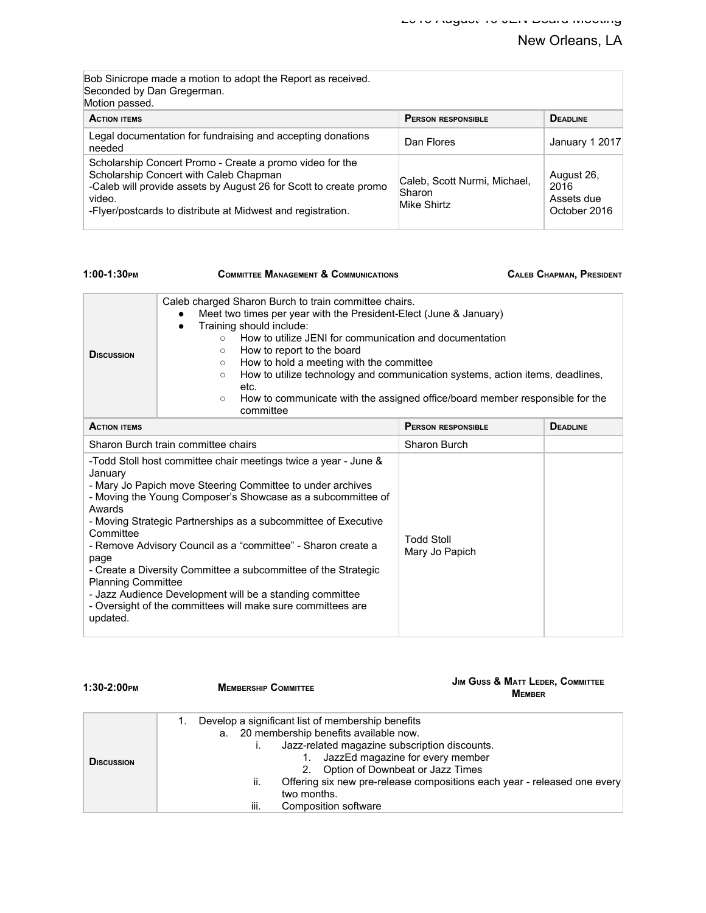| Bob Sinicrope made a motion to adopt the Report as received.<br>Seconded by Dan Gregerman.<br>Motion passed.                                                                                                                                     |                                                       |                                                  |
|--------------------------------------------------------------------------------------------------------------------------------------------------------------------------------------------------------------------------------------------------|-------------------------------------------------------|--------------------------------------------------|
| <b>ACTION ITEMS</b>                                                                                                                                                                                                                              | <b>PERSON RESPONSIBLE</b>                             | <b>DEADLINE</b>                                  |
| Legal documentation for fundraising and accepting donations<br>needed                                                                                                                                                                            | Dan Flores                                            | January 1 2017                                   |
| Scholarship Concert Promo - Create a promo video for the<br>Scholarship Concert with Caleb Chapman<br>-Caleb will provide assets by August 26 for Scott to create promo<br>video.<br>-Flyer/postcards to distribute at Midwest and registration. | Caleb, Scott Nurmi, Michael,<br>Sharon<br>Mike Shirtz | August 26,<br>2016<br>Assets due<br>October 2016 |

| 1:00-1:30PM                                                                     | <b>COMMITTEE MANAGEMENT &amp; COMMUNICATIONS</b>                                                                                                                                                                                                                                                                                                                                                                                                                                                                                                      |                                     | <b>CALEB CHAPMAN, PRESIDENT</b> |
|---------------------------------------------------------------------------------|-------------------------------------------------------------------------------------------------------------------------------------------------------------------------------------------------------------------------------------------------------------------------------------------------------------------------------------------------------------------------------------------------------------------------------------------------------------------------------------------------------------------------------------------------------|-------------------------------------|---------------------------------|
| <b>D</b> ISCUSSION                                                              | Caleb charged Sharon Burch to train committee chairs.<br>Meet two times per year with the President-Elect (June & January)<br>Training should include:<br>$\bullet$<br>How to utilize JENI for communication and documentation<br>$\circ$<br>How to report to the board<br>$\circ$<br>How to hold a meeting with the committee<br>$\circ$<br>How to utilize technology and communication systems, action items, deadlines,<br>$\circ$<br>etc.<br>How to communicate with the assigned office/board member responsible for the<br>$\circ$<br>committee |                                     |                                 |
| <b>ACTION ITEMS</b>                                                             |                                                                                                                                                                                                                                                                                                                                                                                                                                                                                                                                                       | <b>PERSON RESPONSIBLE</b>           | <b>DEADLINE</b>                 |
| Sharon Burch train committee chairs                                             |                                                                                                                                                                                                                                                                                                                                                                                                                                                                                                                                                       | Sharon Burch                        |                                 |
| January<br>Awards<br>Committee<br>page<br><b>Planning Committee</b><br>updated. | -Todd Stoll host committee chair meetings twice a year - June &<br>- Mary Jo Papich move Steering Committee to under archives<br>- Moving the Young Composer's Showcase as a subcommittee of<br>- Moving Strategic Partnerships as a subcommittee of Executive<br>- Remove Advisory Council as a "committee" - Sharon create a<br>- Create a Diversity Committee a subcommittee of the Strategic<br>- Jazz Audience Development will be a standing committee<br>- Oversight of the committees will make sure committees are                           | <b>Todd Stoll</b><br>Mary Jo Papich |                                 |

| 1:30-2:00PM       | <b>MEMBERSHIP COMMITTEE</b>                                                                                                                                                                                                                                                       | <b>JIM GUSS &amp; MATT LEDER, COMMITTEE</b><br><b>MEMBER</b>             |
|-------------------|-----------------------------------------------------------------------------------------------------------------------------------------------------------------------------------------------------------------------------------------------------------------------------------|--------------------------------------------------------------------------|
| <b>DISCUSSION</b> | Develop a significant list of membership benefits<br>a. 20 membership benefits available now.<br>Jazz-related magazine subscription discounts.<br>JazzEd magazine for every member<br>Option of Downbeat or Jazz Times<br>2.<br>Ш.<br>two months.<br>iii.<br>Composition software | Offering six new pre-release compositions each year - released one every |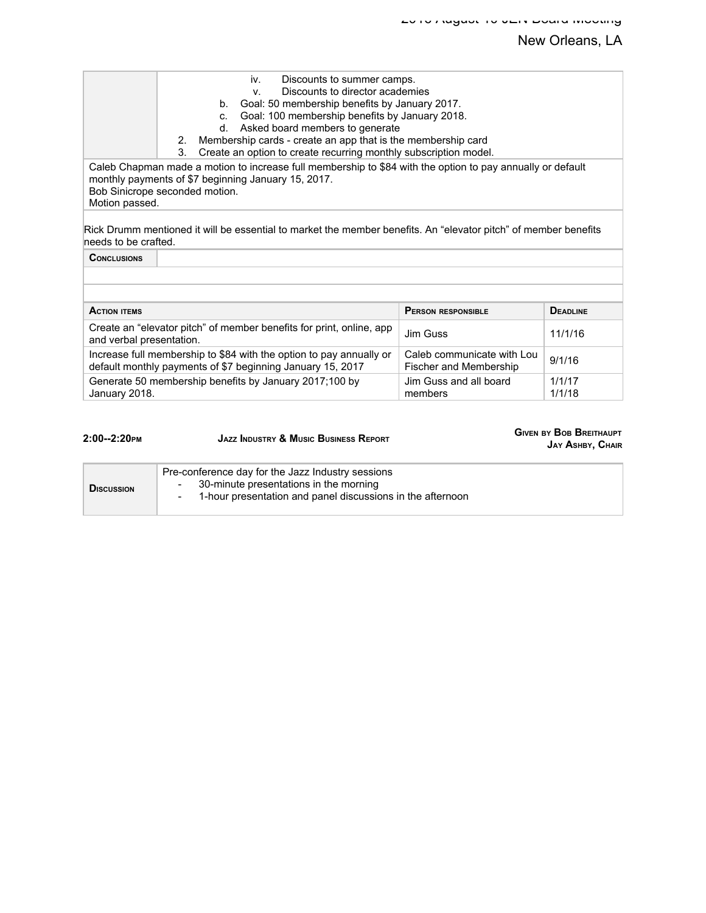|                          | Discounts to summer camps.<br>iv.                                                                                                                                                    |                                                      |                  |
|--------------------------|--------------------------------------------------------------------------------------------------------------------------------------------------------------------------------------|------------------------------------------------------|------------------|
|                          | Discounts to director academies<br>$V_{\cdot}$                                                                                                                                       |                                                      |                  |
|                          | Goal: 50 membership benefits by January 2017.<br>b.                                                                                                                                  |                                                      |                  |
|                          | Goal: 100 membership benefits by January 2018.<br>$C_{\cdot}$                                                                                                                        |                                                      |                  |
|                          | Asked board members to generate<br>d.                                                                                                                                                |                                                      |                  |
|                          | Membership cards - create an app that is the membership card<br>2.                                                                                                                   |                                                      |                  |
|                          | Create an option to create recurring monthly subscription model.<br>3.<br>Caleb Chapman made a motion to increase full membership to \$84 with the option to pay annually or default |                                                      |                  |
| Motion passed.           | monthly payments of \$7 beginning January 15, 2017.<br>Bob Sinicrope seconded motion.                                                                                                |                                                      |                  |
| needs to be crafted.     | Rick Drumm mentioned it will be essential to market the member benefits. An "elevator pitch" of member benefits                                                                      |                                                      |                  |
| <b>CONCLUSIONS</b>       |                                                                                                                                                                                      |                                                      |                  |
|                          |                                                                                                                                                                                      |                                                      |                  |
|                          |                                                                                                                                                                                      |                                                      |                  |
| <b>ACTION ITEMS</b>      |                                                                                                                                                                                      | <b>PERSON RESPONSIBLE</b>                            | <b>DEADLINE</b>  |
| and verbal presentation. | Create an "elevator pitch" of member benefits for print, online, app                                                                                                                 | Jim Guss                                             | 11/1/16          |
|                          | Increase full membership to \$84 with the option to pay annually or<br>default monthly payments of \$7 beginning January 15, 2017                                                    | Caleb communicate with Lou<br>Fischer and Membership | 9/1/16           |
| January 2018.            | Generate 50 membership benefits by January 2017;100 by                                                                                                                               | Jim Guss and all board<br>members                    | 1/1/17<br>1/1/18 |

| $2:00 - 2:20$ PM   | <b>JAZZ INDUSTRY &amp; MUSIC BUSINESS REPORT</b>                                                                                                                                                | <b>GIVEN BY BOB BREITHAUPT</b><br>JAY ASHBY, CHAIR |
|--------------------|-------------------------------------------------------------------------------------------------------------------------------------------------------------------------------------------------|----------------------------------------------------|
| <b>D</b> ISCUSSION | Pre-conference day for the Jazz Industry sessions<br>30-minute presentations in the morning<br>$\overline{\phantom{a}}$<br>1-hour presentation and panel discussions in the afternoon<br>$\sim$ |                                                    |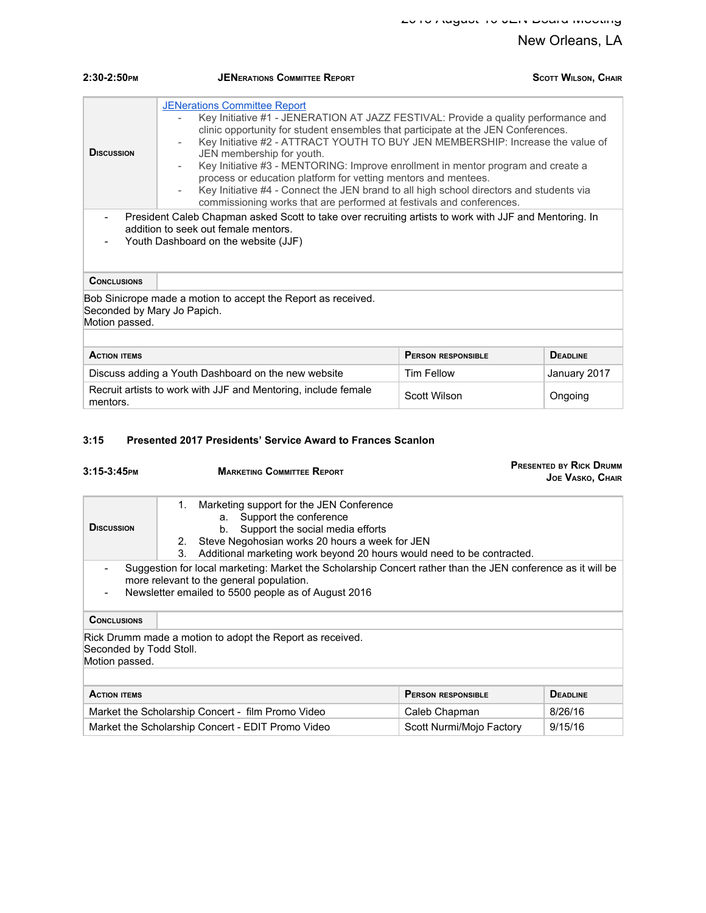| $2:30-2:50$ <sub>PM</sub>                                                                                                                                                                                                                                                                                                                                                                                                                                                                                                                                                                                                                                                                                                                                                                                                                                                                                                     | <b>JENERATIONS COMMITTEE REPORT</b>                           |                           | <b>SCOTT WILSON, CHAIR</b> |
|-------------------------------------------------------------------------------------------------------------------------------------------------------------------------------------------------------------------------------------------------------------------------------------------------------------------------------------------------------------------------------------------------------------------------------------------------------------------------------------------------------------------------------------------------------------------------------------------------------------------------------------------------------------------------------------------------------------------------------------------------------------------------------------------------------------------------------------------------------------------------------------------------------------------------------|---------------------------------------------------------------|---------------------------|----------------------------|
| <b>JENerations Committee Report</b><br>Key Initiative #1 - JENERATION AT JAZZ FESTIVAL: Provide a quality performance and<br>clinic opportunity for student ensembles that participate at the JEN Conferences.<br>Key Initiative #2 - ATTRACT YOUTH TO BUY JEN MEMBERSHIP: Increase the value of<br><b>DISCUSSION</b><br>JEN membership for youth.<br>Key Initiative #3 - MENTORING: Improve enrollment in mentor program and create a<br>$\overline{\phantom{a}}$<br>process or education platform for vetting mentors and mentees.<br>Key Initiative #4 - Connect the JEN brand to all high school directors and students via<br>$\overline{\phantom{a}}$<br>commissioning works that are performed at festivals and conferences.<br>President Caleb Chapman asked Scott to take over recruiting artists to work with JJF and Mentoring. In<br>addition to seek out female mentors.<br>Youth Dashboard on the website (JJF) |                                                               |                           |                            |
| <b>CONCLUSIONS</b>                                                                                                                                                                                                                                                                                                                                                                                                                                                                                                                                                                                                                                                                                                                                                                                                                                                                                                            |                                                               |                           |                            |
| Seconded by Mary Jo Papich.<br>Motion passed.                                                                                                                                                                                                                                                                                                                                                                                                                                                                                                                                                                                                                                                                                                                                                                                                                                                                                 | Bob Sinicrope made a motion to accept the Report as received. |                           |                            |
| <b>ACTION ITEMS</b>                                                                                                                                                                                                                                                                                                                                                                                                                                                                                                                                                                                                                                                                                                                                                                                                                                                                                                           |                                                               | <b>PERSON RESPONSIBLE</b> | <b>DEADLINE</b>            |

| AVIIVII IILMJ                                                              | L LINGUN INLOFUNGIBLE | PLADLINE     |
|----------------------------------------------------------------------------|-----------------------|--------------|
| Discuss adding a Youth Dashboard on the new website                        | Tim Fellow            | January 2017 |
| Recruit artists to work with JJF and Mentoring, include female<br>mentors. | Scott Wilson          | Ongoing      |

#### **3:15 Presented 2017 Presidents' Service Award to Frances Scanlon**

| $3:15-3:45$ PM                            | <b>MARKETING COMMITTEE REPORT</b>                                                                                                                                                                                                                                |                           | <b>PRESENTED BY RICK DRUMM</b><br><b>JOE VASKO, CHAIR</b> |
|-------------------------------------------|------------------------------------------------------------------------------------------------------------------------------------------------------------------------------------------------------------------------------------------------------------------|---------------------------|-----------------------------------------------------------|
| <b>D</b> ISCUSSION                        | Marketing support for the JEN Conference<br>1.<br>Support the conference<br>a.<br>Support the social media efforts<br>b.<br>Steve Negohosian works 20 hours a week for JEN<br>2.<br>Additional marketing work beyond 20 hours would need to be contracted.<br>3. |                           |                                                           |
|                                           | Suggestion for local marketing: Market the Scholarship Concert rather than the JEN conference as it will be<br>more relevant to the general population.<br>Newsletter emailed to 5500 people as of August 2016                                                   |                           |                                                           |
| <b>CONCLUSIONS</b>                        |                                                                                                                                                                                                                                                                  |                           |                                                           |
| Seconded by Todd Stoll.<br>Motion passed. | Rick Drumm made a motion to adopt the Report as received.                                                                                                                                                                                                        |                           |                                                           |
| <b>ACTION ITEMS</b>                       |                                                                                                                                                                                                                                                                  | <b>PERSON RESPONSIBLE</b> | <b>DEADLINE</b>                                           |
|                                           | Market the Scholarship Concert - film Promo Video                                                                                                                                                                                                                | Caleb Chapman             | 8/26/16                                                   |
|                                           | Market the Scholarship Concert - EDIT Promo Video                                                                                                                                                                                                                | Scott Nurmi/Mojo Factory  | 9/15/16                                                   |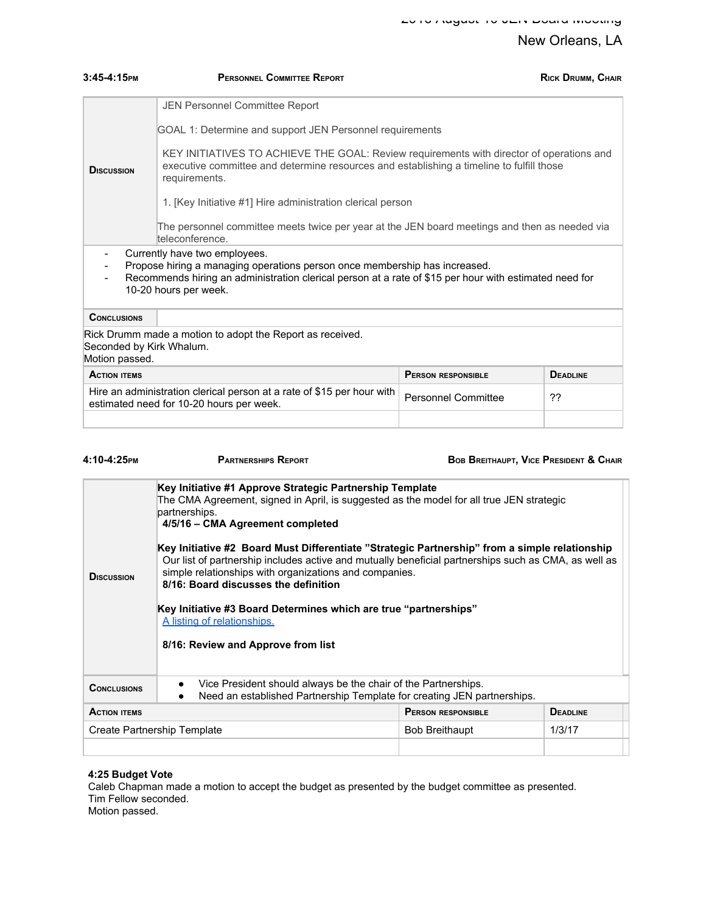| $3:45-4:15$ PM                                                                                                                                                                                                                                                             | <b>PERSONNEL COMMITTEE REPORT</b>                                                                                                                                                                                                                                                                                                                                 |                           | <b>RICK DRUMM, CHAIR</b> |
|----------------------------------------------------------------------------------------------------------------------------------------------------------------------------------------------------------------------------------------------------------------------------|-------------------------------------------------------------------------------------------------------------------------------------------------------------------------------------------------------------------------------------------------------------------------------------------------------------------------------------------------------------------|---------------------------|--------------------------|
| <b>D</b> ISCUSSION                                                                                                                                                                                                                                                         | JEN Personnel Committee Report<br>GOAL 1: Determine and support JEN Personnel requirements<br>KEY INITIATIVES TO ACHIEVE THE GOAL: Review requirements with director of operations and<br>executive committee and determine resources and establishing a timeline to fulfill those<br>requirements.<br>1. [Key Initiative #1] Hire administration clerical person |                           |                          |
| The personnel committee meets twice per year at the JEN board meetings and then as needed via<br>teleconference.                                                                                                                                                           |                                                                                                                                                                                                                                                                                                                                                                   |                           |                          |
| Currently have two employees.<br>$\overline{\phantom{a}}$<br>Propose hiring a managing operations person once membership has increased.<br>Recommends hiring an administration clerical person at a rate of \$15 per hour with estimated need for<br>10-20 hours per week. |                                                                                                                                                                                                                                                                                                                                                                   |                           |                          |
| <b>CONCLUSIONS</b>                                                                                                                                                                                                                                                         |                                                                                                                                                                                                                                                                                                                                                                   |                           |                          |
| Seconded by Kirk Whalum.<br>Motion passed.                                                                                                                                                                                                                                 | Rick Drumm made a motion to adopt the Report as received.                                                                                                                                                                                                                                                                                                         |                           |                          |
| <b>ACTION ITEMS</b>                                                                                                                                                                                                                                                        |                                                                                                                                                                                                                                                                                                                                                                   | <b>PERSON RESPONSIBLE</b> | <b>DEADLINE</b>          |
|                                                                                                                                                                                                                                                                            | Hire an administration clerical person at a rate of \$15 per hour with<br><b>Personnel Committee</b><br>??<br>estimated need for 10-20 hours per week.                                                                                                                                                                                                            |                           |                          |
|                                                                                                                                                                                                                                                                            |                                                                                                                                                                                                                                                                                                                                                                   |                           |                          |

| 4:10-4:25PM         | <b>PARTNERSHIPS REPORT</b>                                                                                                                                                                                                                                                                                                                                                                                                                                                                                                                                                                                                                                    |                           | <b>BOB BREITHAUPT, VICE PRESIDENT &amp; CHAIR</b> |  |
|---------------------|---------------------------------------------------------------------------------------------------------------------------------------------------------------------------------------------------------------------------------------------------------------------------------------------------------------------------------------------------------------------------------------------------------------------------------------------------------------------------------------------------------------------------------------------------------------------------------------------------------------------------------------------------------------|---------------------------|---------------------------------------------------|--|
| <b>D</b> ISCUSSION  | Key Initiative #1 Approve Strategic Partnership Template<br>The CMA Agreement, signed in April, is suggested as the model for all true JEN strategic<br>partnerships.<br>4/5/16 - CMA Agreement completed<br>Key Initiative #2 Board Must Differentiate "Strategic Partnership" from a simple relationship<br>Our list of partnership includes active and mutually beneficial partnerships such as CMA, as well as<br>simple relationships with organizations and companies.<br>8/16: Board discusses the definition<br>Key Initiative #3 Board Determines which are true "partnerships"<br>A listing of relationships.<br>8/16: Review and Approve from list |                           |                                                   |  |
| <b>CONCLUSIONS</b>  | Vice President should always be the chair of the Partnerships.<br>$\bullet$<br>Need an established Partnership Template for creating JEN partnerships.                                                                                                                                                                                                                                                                                                                                                                                                                                                                                                        |                           |                                                   |  |
| <b>ACTION ITEMS</b> |                                                                                                                                                                                                                                                                                                                                                                                                                                                                                                                                                                                                                                                               | <b>PERSON RESPONSIBLE</b> | <b>DEADLINE</b>                                   |  |
|                     | Create Partnership Template                                                                                                                                                                                                                                                                                                                                                                                                                                                                                                                                                                                                                                   | <b>Bob Breithaupt</b>     | 1/3/17                                            |  |
|                     |                                                                                                                                                                                                                                                                                                                                                                                                                                                                                                                                                                                                                                                               |                           |                                                   |  |

#### **4:25 Budget Vote**

Caleb Chapman made a motion to accept the budget as presented by the budget committee as presented. Tim Fellow seconded. Motion passed.